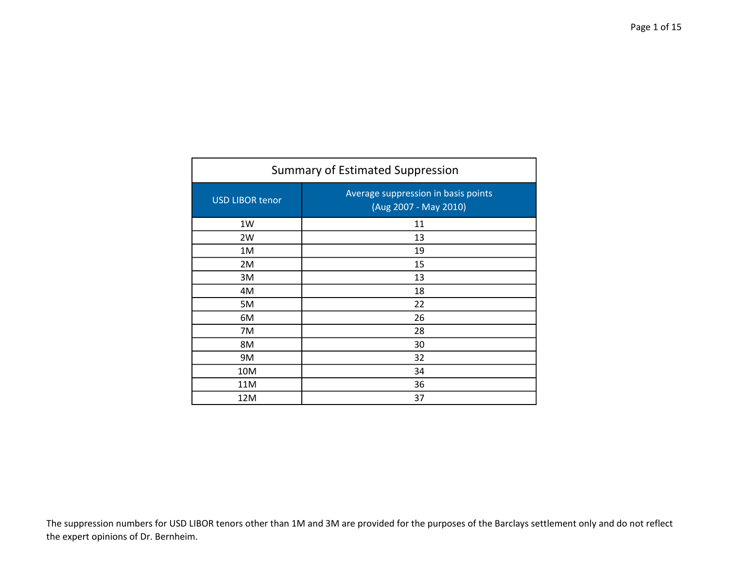| <b>Summary of Estimated Suppression</b> |                                                              |
|-----------------------------------------|--------------------------------------------------------------|
| <b>USD LIBOR tenor</b>                  | Average suppression in basis points<br>(Aug 2007 - May 2010) |
| 1W                                      | 11                                                           |
| 2W                                      | 13                                                           |
| 1M                                      | 19                                                           |
| 2M                                      | 15                                                           |
| 3M                                      | 13                                                           |
| 4M                                      | 18                                                           |
| 5M                                      | 22                                                           |
| 6M                                      | 26                                                           |
| 7M                                      | 28                                                           |
| 8M                                      | 30                                                           |
| 9M                                      | 32                                                           |
| 10M                                     | 34                                                           |
| 11M                                     | 36                                                           |
| 12M                                     | 37                                                           |

The suppression numbers for USD LIBOR tenors other than 1M and 3M are provided for the purposes of the Barclays settlement only and do not reflect the expert opinions of Dr. Bernheim.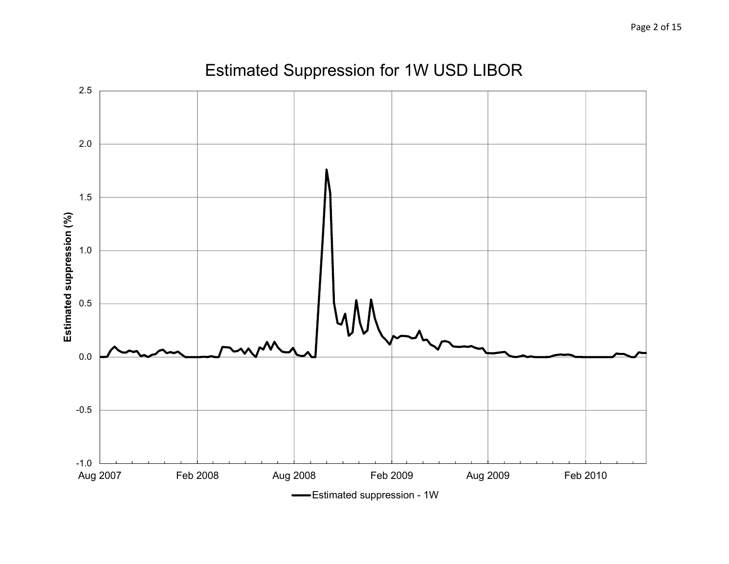

#### Estimated Suppression for 1W USD LIBOR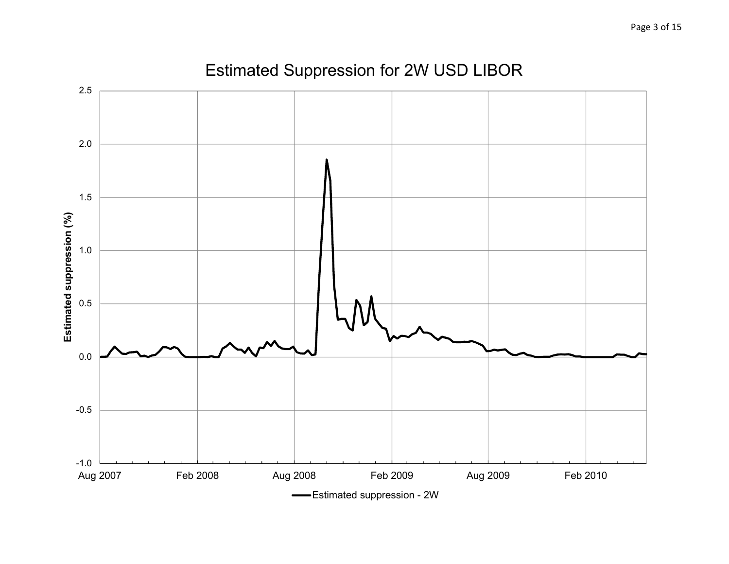

# Estimated Suppression for 2W USD LIBOR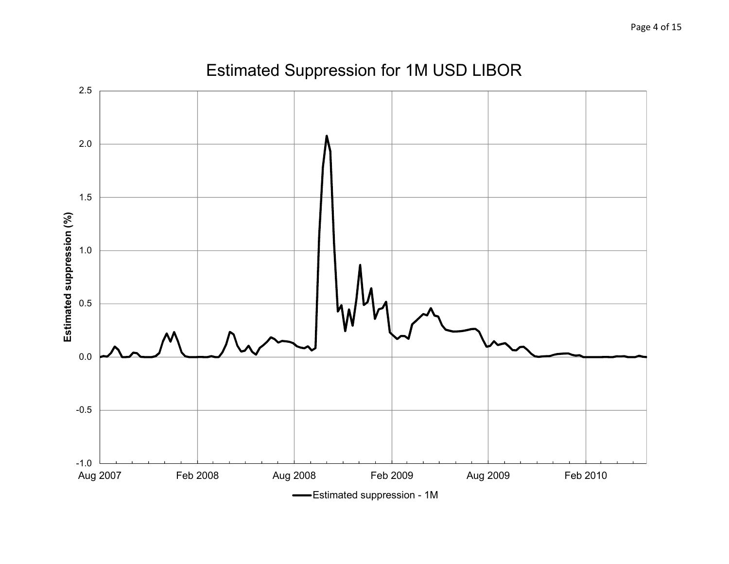

#### Estimated Suppression for 1M USD LIBOR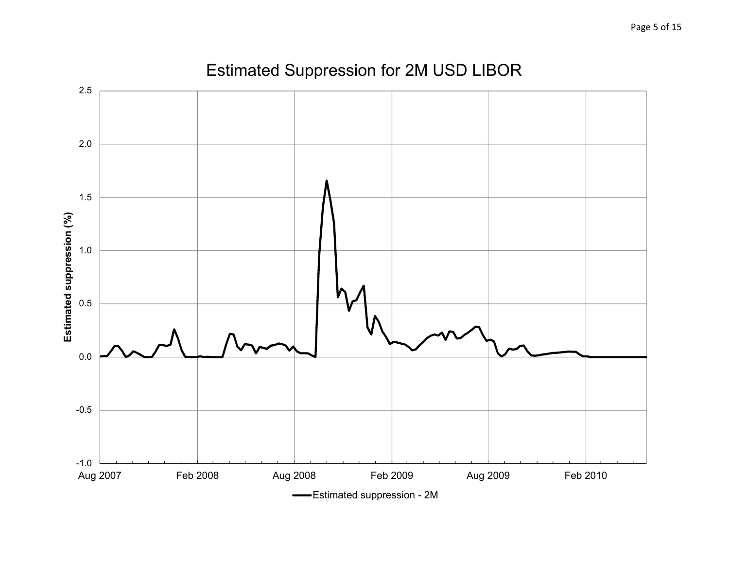

# Estimated Suppression for 2M USD LIBOR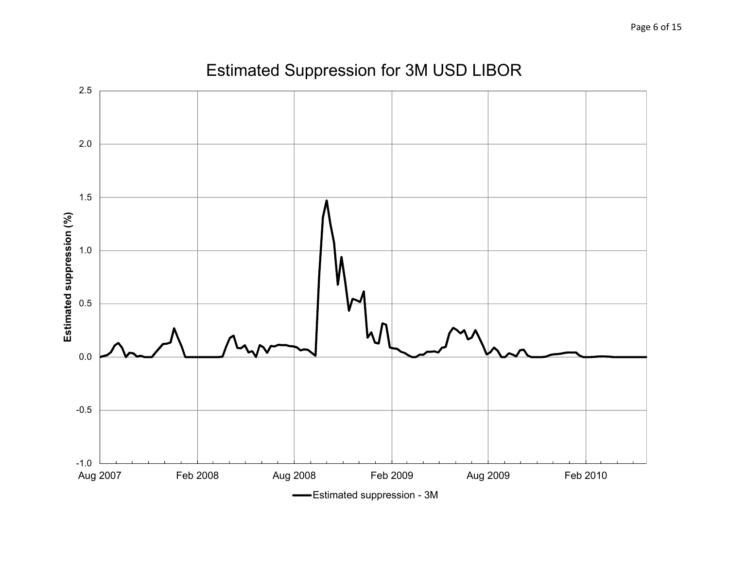

# Estimated Suppression for 3M USD LIBOR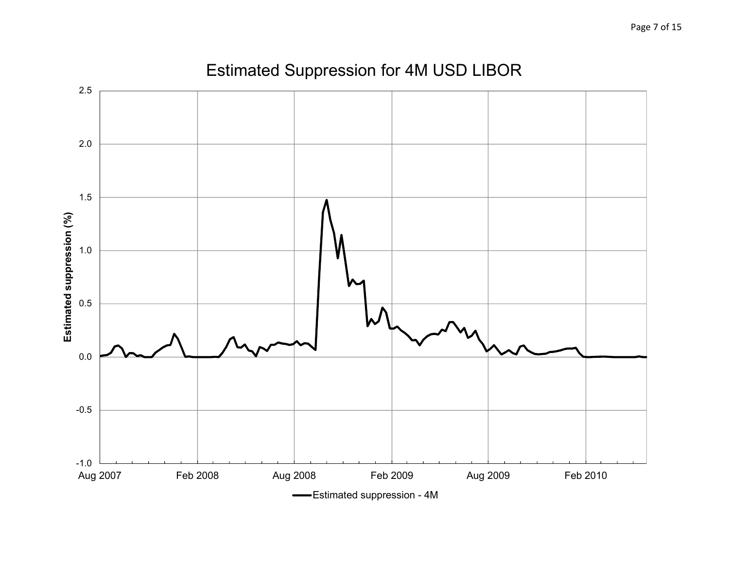

# Estimated Suppression for 4M USD LIBOR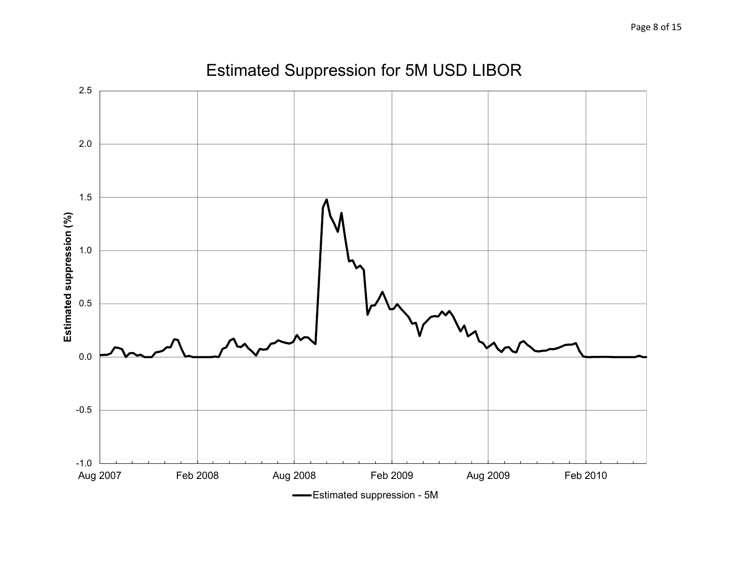

# Estimated Suppression for 5M USD LIBOR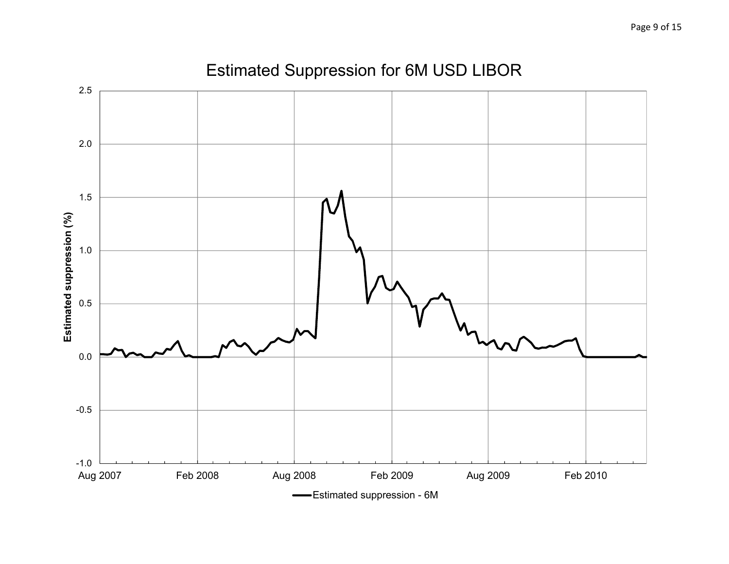

# Estimated Suppression for 6M USD LIBOR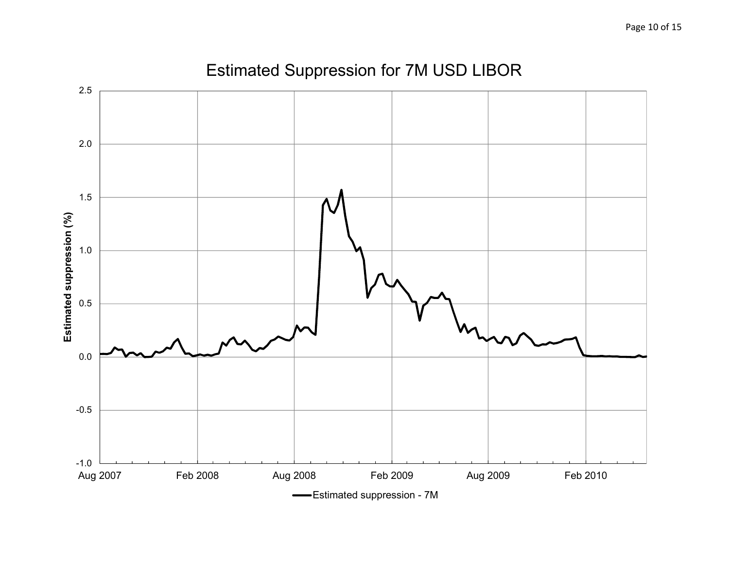

#### Estimated Suppression for 7M USD LIBOR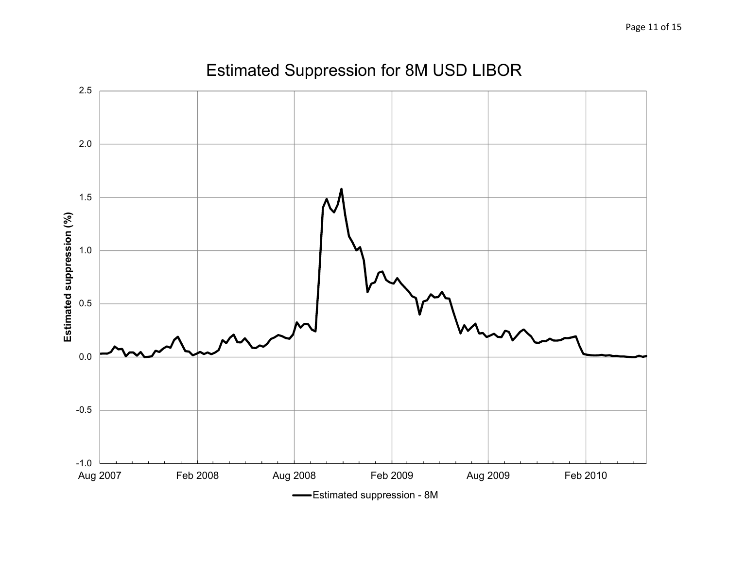

# Estimated Suppression for 8M USD LIBOR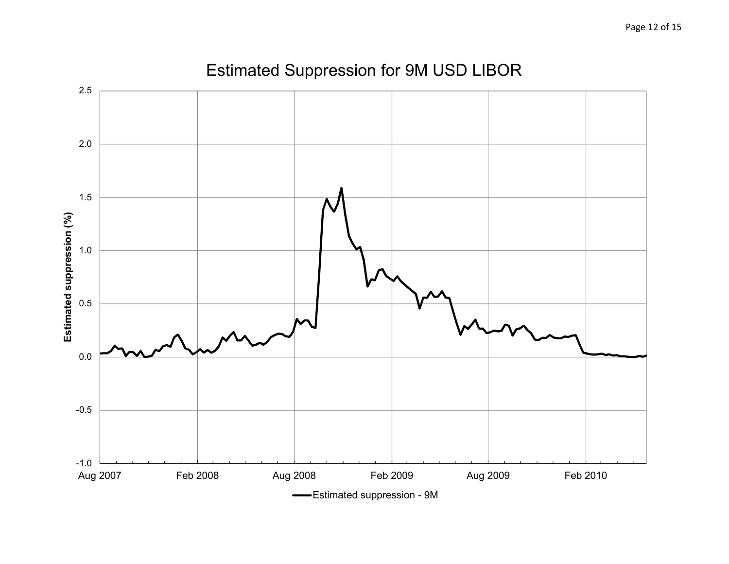

# Estimated Suppression for 9M USD LIBOR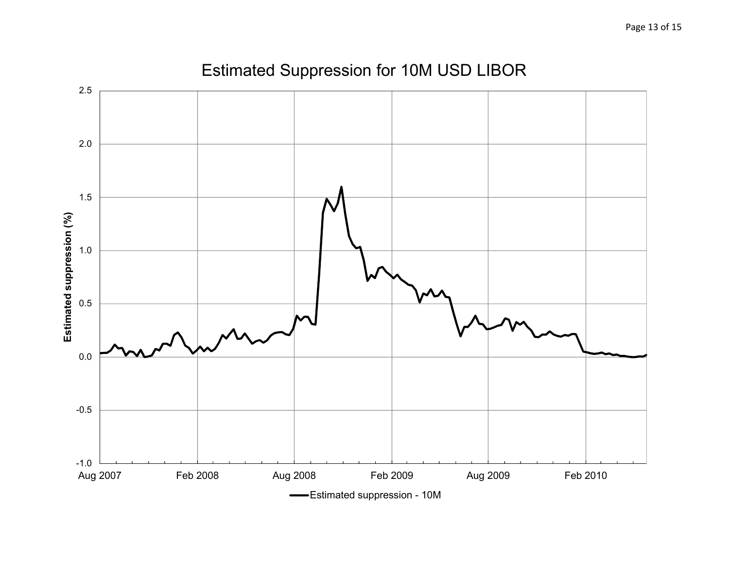

# Estimated Suppression for 10M USD LIBOR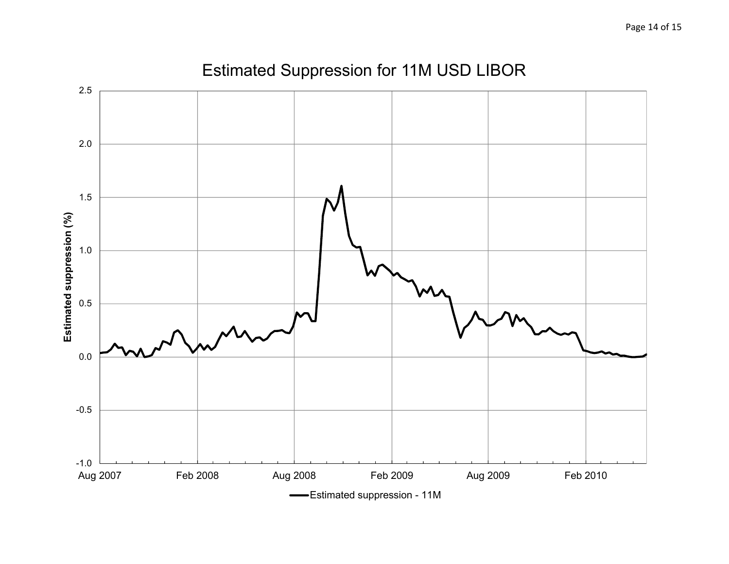

# Estimated Suppression for 11M USD LIBOR